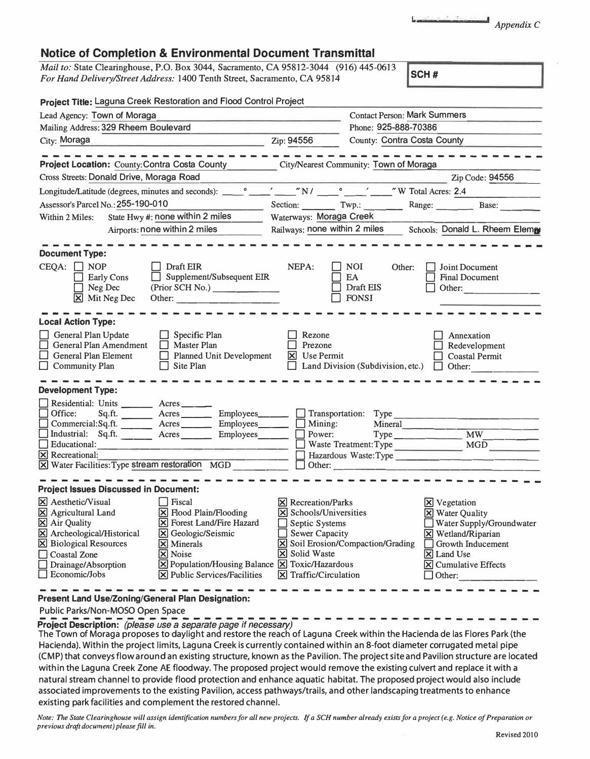r *Appendix* <sup>C</sup>

## **Notice of Completion & Environmental Document Transmittal**

*Mail to:* State Clearinghouse, P.O. Box 3044, Sacramento, CA 95812-3044 (916) 445-0613 *For Hand Delivery/Street Address:* 1400 Tenth Street, Sacramento, CA 95814 **SCH #** 

| Project Title: Laguna Creek Restoration and Flood Control Project                                                                                                                                                                            |                                                                                                                                                                                                                                                                 |                                                            |                                                                                                                                                                                 |                                               |                                          |                                                                                                         |                                                                                                         |  |
|----------------------------------------------------------------------------------------------------------------------------------------------------------------------------------------------------------------------------------------------|-----------------------------------------------------------------------------------------------------------------------------------------------------------------------------------------------------------------------------------------------------------------|------------------------------------------------------------|---------------------------------------------------------------------------------------------------------------------------------------------------------------------------------|-----------------------------------------------|------------------------------------------|---------------------------------------------------------------------------------------------------------|---------------------------------------------------------------------------------------------------------|--|
| Lead Agency: Town of Moraga                                                                                                                                                                                                                  |                                                                                                                                                                                                                                                                 |                                                            |                                                                                                                                                                                 |                                               | <b>Contact Person: Mark Summers</b>      |                                                                                                         |                                                                                                         |  |
| Mailing Address: 329 Rheem Boulevard                                                                                                                                                                                                         |                                                                                                                                                                                                                                                                 |                                                            |                                                                                                                                                                                 |                                               | Phone: 925-888-70386                     |                                                                                                         |                                                                                                         |  |
| City: Moraga<br><u> De Carlos de Carlos de Carlos de Carlos de Carlos de Carlos de Carlos de Carlos de Carlos de Carlos de Carlos de Ca</u>                                                                                                  |                                                                                                                                                                                                                                                                 |                                                            | Zip: 94556                                                                                                                                                                      |                                               | County: Contra Costa County              |                                                                                                         |                                                                                                         |  |
|                                                                                                                                                                                                                                              |                                                                                                                                                                                                                                                                 |                                                            |                                                                                                                                                                                 |                                               |                                          |                                                                                                         |                                                                                                         |  |
| Project Location: County: Contra Costa County City/Nearest Community: Town of Moraga                                                                                                                                                         |                                                                                                                                                                                                                                                                 |                                                            |                                                                                                                                                                                 |                                               |                                          |                                                                                                         |                                                                                                         |  |
| Cross Streets: Donald Drive, Moraga Road                                                                                                                                                                                                     |                                                                                                                                                                                                                                                                 |                                                            |                                                                                                                                                                                 |                                               |                                          |                                                                                                         | Zip Code: 94556                                                                                         |  |
| Longitude/Latitude (degrees, minutes and seconds): __                                                                                                                                                                                        |                                                                                                                                                                                                                                                                 |                                                            |                                                                                                                                                                                 |                                               |                                          |                                                                                                         | $\sim$ $N/$ $\sim$ $\sim$ $N/$ $\sim$ $\sim$ $\sim$ $\sim$ $\sim$ $\sim$ $\sim$ $N$ Total Acres: 2.4    |  |
| Assessor's Parcel No.: 255-190-010<br>$\sim$                                                                                                                                                                                                 |                                                                                                                                                                                                                                                                 |                                                            |                                                                                                                                                                                 |                                               |                                          |                                                                                                         |                                                                                                         |  |
| State Hwy #: none within 2 miles<br>Within 2 Miles:                                                                                                                                                                                          |                                                                                                                                                                                                                                                                 |                                                            | Waterways: Moraga Creek                                                                                                                                                         |                                               |                                          |                                                                                                         |                                                                                                         |  |
| Airports: none within 2 miles                                                                                                                                                                                                                |                                                                                                                                                                                                                                                                 |                                                            |                                                                                                                                                                                 |                                               |                                          |                                                                                                         | Railways: none within 2 miles Schools: Donald L. Rheem Element                                          |  |
| <b>Document Type:</b>                                                                                                                                                                                                                        |                                                                                                                                                                                                                                                                 |                                                            |                                                                                                                                                                                 |                                               |                                          |                                                                                                         |                                                                                                         |  |
| $CEQA: \Box NP$<br><b>Early Cons</b><br>$\Box$ Neg Dec<br>$\boxtimes$ Mit Neg Dec                                                                                                                                                            | Draft EIR<br>$\Box$ Supplement/Subsequent EIR<br>(Prior SCH No.)<br>Other:                                                                                                                                                                                      |                                                            | NEPA:                                                                                                                                                                           | <b>NOI</b><br>EA<br>Draft EIS<br><b>FONSI</b> | Other:                                   |                                                                                                         | Joint Document<br><b>Final Document</b><br>Other:                                                       |  |
| <b>Local Action Type:</b>                                                                                                                                                                                                                    |                                                                                                                                                                                                                                                                 |                                                            |                                                                                                                                                                                 |                                               |                                          |                                                                                                         |                                                                                                         |  |
| General Plan Update<br>$\Box$ Specific Plan<br>General Plan Amendment<br>$\Box$ Master Plan<br>$\Box$ General Plan Element<br>$\Box$ Planned Unit Development<br>$\Box$ Community Plan<br>$\Box$ Site Plan                                   |                                                                                                                                                                                                                                                                 | Rezone<br>П<br>Prezone<br>$\boxtimes$ Use Permit<br>$\Box$ |                                                                                                                                                                                 |                                               |                                          | Annexation<br>Redevelopment<br><b>Coastal Permit</b><br>Land Division (Subdivision, etc.) $\Box$ Other: |                                                                                                         |  |
| <b>Development Type:</b>                                                                                                                                                                                                                     |                                                                                                                                                                                                                                                                 |                                                            |                                                                                                                                                                                 |                                               |                                          |                                                                                                         |                                                                                                         |  |
| Residential: Units _______ Acres _____<br>$\Box$ Office:<br>Commercial:Sq.ft. Acres Employees Mining:<br>Industrial: Sq.ft. ______ Acres ______ Employees______<br><b>X</b> Recreational:<br>X Water Facilities: Type stream restoration MGD | Sq.ft. Acres ________ Employees_______ __ Transportation: Type _________________                                                                                                                                                                                |                                                            | Power:                                                                                                                                                                          |                                               | Mineral                                  |                                                                                                         |                                                                                                         |  |
| <b>Project Issues Discussed in Document:</b>                                                                                                                                                                                                 |                                                                                                                                                                                                                                                                 |                                                            |                                                                                                                                                                                 |                                               |                                          |                                                                                                         |                                                                                                         |  |
| X Aesthetic/Visual<br>$\boxed{\boxtimes}$ Agricultural Land<br>$\boxed{\boxtimes}$ Air Quality<br>X Archeological/Historical<br><b>X</b> Biological Resources<br><b>Coastal Zone</b><br>Drainage/Absorption<br>$\Box$ Economic/Jobs          | l Fiscal<br>$\boxtimes$ Flood Plain/Flooding<br>$\overline{\mathbf{X}}$ Forest Land/Fire Hazard<br>X Geologic/Seismic<br>$\times$ Minerals<br>X Noise<br>X Population/Housing Balance X Toxic/Hazardous<br>$[\mathbf{\overline{X}}]$ Public Services/Facilities |                                                            | $\boxtimes$ Recreation/Parks<br>$\boxtimes$ Schools/Universities<br>$\Box$ Septic Systems<br>Sewer Capacity<br><b>X</b> Solid Waste<br>$\boxed{\mathsf{X}}$ Traffic/Circulation |                                               | <b>X</b> Soil Erosion/Compaction/Grading | $\mathbf{X}$ Vegetation<br><b>X</b> Water Quality<br>X Land Use<br>Other:                               | Water Supply/Groundwater<br>$X$ Wetland/Riparian<br>Growth Inducement<br>$\boxtimes$ Cumulative Effects |  |
| <b>Present Land Use/Zoning/General Plan Designation:</b>                                                                                                                                                                                     |                                                                                                                                                                                                                                                                 |                                                            |                                                                                                                                                                                 |                                               |                                          |                                                                                                         |                                                                                                         |  |

Public Parks/Non-MOSO Open Space

**Project Description:** (please use a separate page if necessary)

The Town of Moraga proposes to daylight and restore the reach of Laguna Creek within the Hacienda de las Flores Park (the Hacienda). Within the project limits, Laguna Creek is currently contained within an 8-foot diameter corrugated metal pipe (CMP) that conveys flow around an existing structure, known as the Pavilion. The project site and Pavilion structure are located within the Laguna Creek Zone AE floodway. The proposed project would remove the existing culvert and replace it with a natural stream channel to provide flood protection and enhance aquatic habitat. The proposed project would also include associated improvements to the existing Pavilion, access pathways/trails, and other landscaping treatments to enhance existing park facilities and complement the restored channel.

*Note: The State Clearinghouse will assign identification numbers for all new projects. If a SCH number already exists for a project ( e.g. Notice of Preparation or previous draft document) please fill in.*